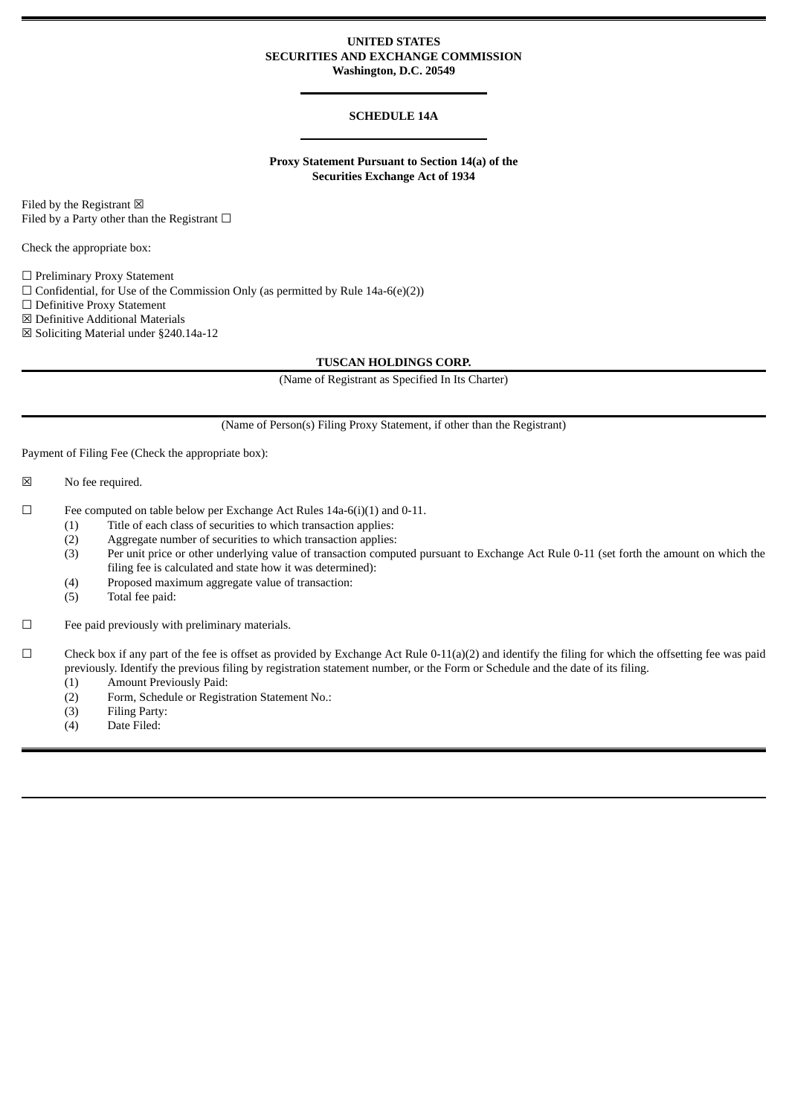## **UNITED STATES SECURITIES AND EXCHANGE COMMISSION Washington, D.C. 20549**

# **SCHEDULE 14A**

## **Proxy Statement Pursuant to Section 14(a) of the Securities Exchange Act of 1934**

Filed by the Registrant  $\boxtimes$ Filed by a Party other than the Registrant  $\Box$ 

Check the appropriate box:

☐ Preliminary Proxy Statement

 $\Box$  Confidential, for Use of the Commission Only (as permitted by Rule 14a-6(e)(2))

☐ Definitive Proxy Statement

☒ Definitive Additional Materials

☒ Soliciting Material under §240.14a-12

## **TUSCAN HOLDINGS CORP.**

(Name of Registrant as Specified In Its Charter)

(Name of Person(s) Filing Proxy Statement, if other than the Registrant)

Payment of Filing Fee (Check the appropriate box):

☒ No fee required.

- ☐ Fee computed on table below per Exchange Act Rules 14a-6(i)(1) and 0-11.
	- (1) Title of each class of securities to which transaction applies:
	- (2) Aggregate number of securities to which transaction applies:
	- (3) Per unit price or other underlying value of transaction computed pursuant to Exchange Act Rule 0-11 (set forth the amount on which the filing fee is calculated and state how it was determined):
	- (4) Proposed maximum aggregate value of transaction:
	- (5) Total fee paid:
- $\Box$  Fee paid previously with preliminary materials.

 $\Box$  Check box if any part of the fee is offset as provided by Exchange Act Rule 0-11(a)(2) and identify the filing for which the offsetting fee was paid previously. Identify the previous filing by registration statement number, or the Form or Schedule and the date of its filing.

- (1) Amount Previously Paid:
- (2) Form, Schedule or Registration Statement No.:
- (3) Filing Party:
- (4) Date Filed: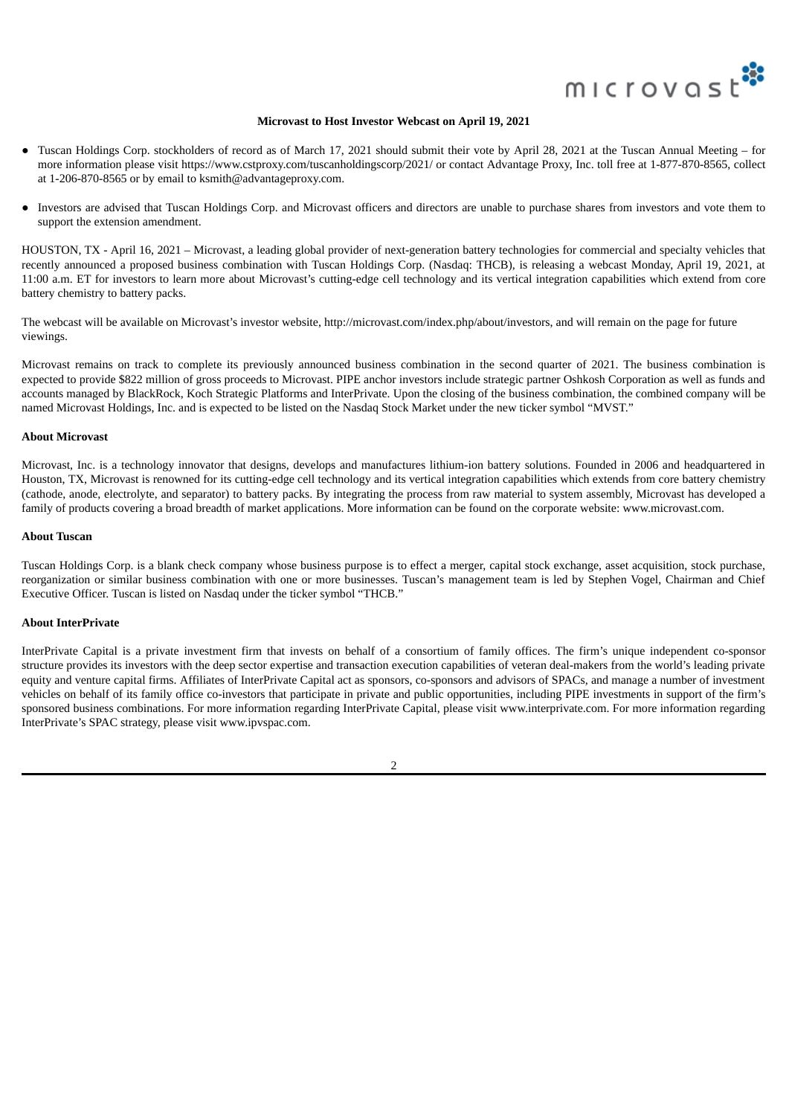

### **Microvast to Host Investor Webcast on April 19, 2021**

- Tuscan Holdings Corp. stockholders of record as of March 17, 2021 should submit their vote by April 28, 2021 at the Tuscan Annual Meeting for more information please visit https://www.cstproxy.com/tuscanholdingscorp/2021/ or contact Advantage Proxy, Inc. toll free at 1-877-870-8565, collect at 1-206-870-8565 or by email to ksmith@advantageproxy.com.
- Investors are advised that Tuscan Holdings Corp. and Microvast officers and directors are unable to purchase shares from investors and vote them to support the extension amendment.

HOUSTON, TX - April 16, 2021 – Microvast, a leading global provider of next-generation battery technologies for commercial and specialty vehicles that recently announced a proposed business combination with Tuscan Holdings Corp. (Nasdaq: THCB), is releasing a webcast Monday, April 19, 2021, at 11:00 a.m. ET for investors to learn more about Microvast's cutting-edge cell technology and its vertical integration capabilities which extend from core battery chemistry to battery packs.

The webcast will be available on Microvast's investor website, http://microvast.com/index.php/about/investors, and will remain on the page for future viewings.

Microvast remains on track to complete its previously announced business combination in the second quarter of 2021. The business combination is expected to provide \$822 million of gross proceeds to Microvast. PIPE anchor investors include strategic partner Oshkosh Corporation as well as funds and accounts managed by BlackRock, Koch Strategic Platforms and InterPrivate. Upon the closing of the business combination, the combined company will be named Microvast Holdings, Inc. and is expected to be listed on the Nasdaq Stock Market under the new ticker symbol "MVST."

## **About Microvast**

Microvast, Inc. is a technology innovator that designs, develops and manufactures lithium-ion battery solutions. Founded in 2006 and headquartered in Houston, TX, Microvast is renowned for its cutting-edge cell technology and its vertical integration capabilities which extends from core battery chemistry (cathode, anode, electrolyte, and separator) to battery packs. By integrating the process from raw material to system assembly, Microvast has developed a family of products covering a broad breadth of market applications. More information can be found on the corporate website: www.microvast.com.

## **About Tuscan**

Tuscan Holdings Corp. is a blank check company whose business purpose is to effect a merger, capital stock exchange, asset acquisition, stock purchase, reorganization or similar business combination with one or more businesses. Tuscan's management team is led by Stephen Vogel, Chairman and Chief Executive Officer. Tuscan is listed on Nasdaq under the ticker symbol "THCB."

#### **About InterPrivate**

InterPrivate Capital is a private investment firm that invests on behalf of a consortium of family offices. The firm's unique independent co-sponsor structure provides its investors with the deep sector expertise and transaction execution capabilities of veteran deal-makers from the world's leading private equity and venture capital firms. Affiliates of InterPrivate Capital act as sponsors, co-sponsors and advisors of SPACs, and manage a number of investment vehicles on behalf of its family office co-investors that participate in private and public opportunities, including PIPE investments in support of the firm's sponsored business combinations. For more information regarding InterPrivate Capital, please visit www.interprivate.com. For more information regarding InterPrivate's SPAC strategy, please visit www.ipvspac.com.

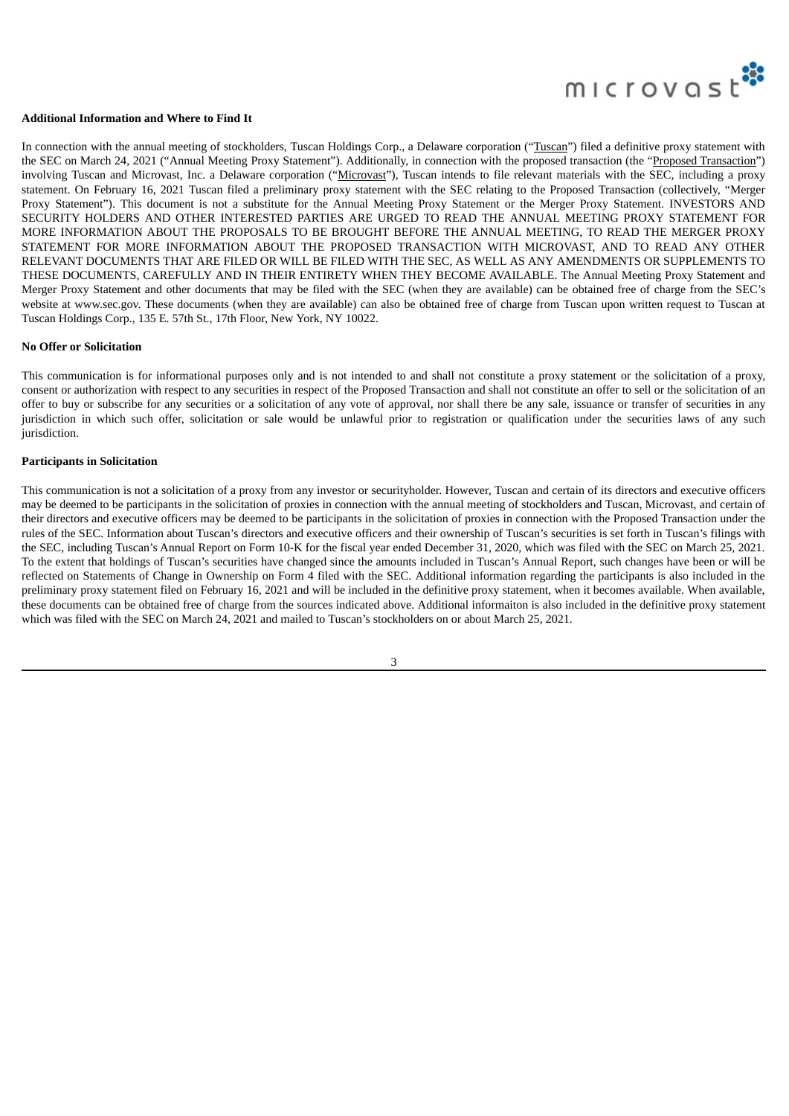

#### **Additional Information and Where to Find It**

In connection with the annual meeting of stockholders, Tuscan Holdings Corp., a Delaware corporation ("Tuscan") filed a definitive proxy statement with the SEC on March 24, 2021 ("Annual Meeting Proxy Statement"). Additionally, in connection with the proposed transaction (the "Proposed Transaction") involving Tuscan and Microvast, Inc. a Delaware corporation ("Microvast"), Tuscan intends to file relevant materials with the SEC, including a proxy statement. On February 16, 2021 Tuscan filed a preliminary proxy statement with the SEC relating to the Proposed Transaction (collectively, "Merger Proxy Statement"). This document is not a substitute for the Annual Meeting Proxy Statement or the Merger Proxy Statement. INVESTORS AND SECURITY HOLDERS AND OTHER INTERESTED PARTIES ARE URGED TO READ THE ANNUAL MEETING PROXY STATEMENT FOR MORE INFORMATION ABOUT THE PROPOSALS TO BE BROUGHT BEFORE THE ANNUAL MEETING, TO READ THE MERGER PROXY STATEMENT FOR MORE INFORMATION ABOUT THE PROPOSED TRANSACTION WITH MICROVAST, AND TO READ ANY OTHER RELEVANT DOCUMENTS THAT ARE FILED OR WILL BE FILED WITH THE SEC, AS WELL AS ANY AMENDMENTS OR SUPPLEMENTS TO THESE DOCUMENTS, CAREFULLY AND IN THEIR ENTIRETY WHEN THEY BECOME AVAILABLE. The Annual Meeting Proxy Statement and Merger Proxy Statement and other documents that may be filed with the SEC (when they are available) can be obtained free of charge from the SEC's website at www.sec.gov. These documents (when they are available) can also be obtained free of charge from Tuscan upon written request to Tuscan at Tuscan Holdings Corp., 135 E. 57th St., 17th Floor, New York, NY 10022.

### **No Offer or Solicitation**

This communication is for informational purposes only and is not intended to and shall not constitute a proxy statement or the solicitation of a proxy, consent or authorization with respect to any securities in respect of the Proposed Transaction and shall not constitute an offer to sell or the solicitation of an offer to buy or subscribe for any securities or a solicitation of any vote of approval, nor shall there be any sale, issuance or transfer of securities in any jurisdiction in which such offer, solicitation or sale would be unlawful prior to registration or qualification under the securities laws of any such jurisdiction.

## **Participants in Solicitation**

This communication is not a solicitation of a proxy from any investor or securityholder. However, Tuscan and certain of its directors and executive officers may be deemed to be participants in the solicitation of proxies in connection with the annual meeting of stockholders and Tuscan, Microvast, and certain of their directors and executive officers may be deemed to be participants in the solicitation of proxies in connection with the Proposed Transaction under the rules of the SEC. Information about Tuscan's directors and executive officers and their ownership of Tuscan's securities is set forth in Tuscan's filings with the SEC, including Tuscan's Annual Report on Form 10-K for the fiscal year ended December 31, 2020, which was filed with the SEC on March 25, 2021. To the extent that holdings of Tuscan's securities have changed since the amounts included in Tuscan's Annual Report, such changes have been or will be reflected on Statements of Change in Ownership on Form 4 filed with the SEC. Additional information regarding the participants is also included in the preliminary proxy statement filed on February 16, 2021 and will be included in the definitive proxy statement, when it becomes available. When available, these documents can be obtained free of charge from the sources indicated above. Additional informaiton is also included in the definitive proxy statement which was filed with the SEC on March 24, 2021 and mailed to Tuscan's stockholders on or about March 25, 2021.

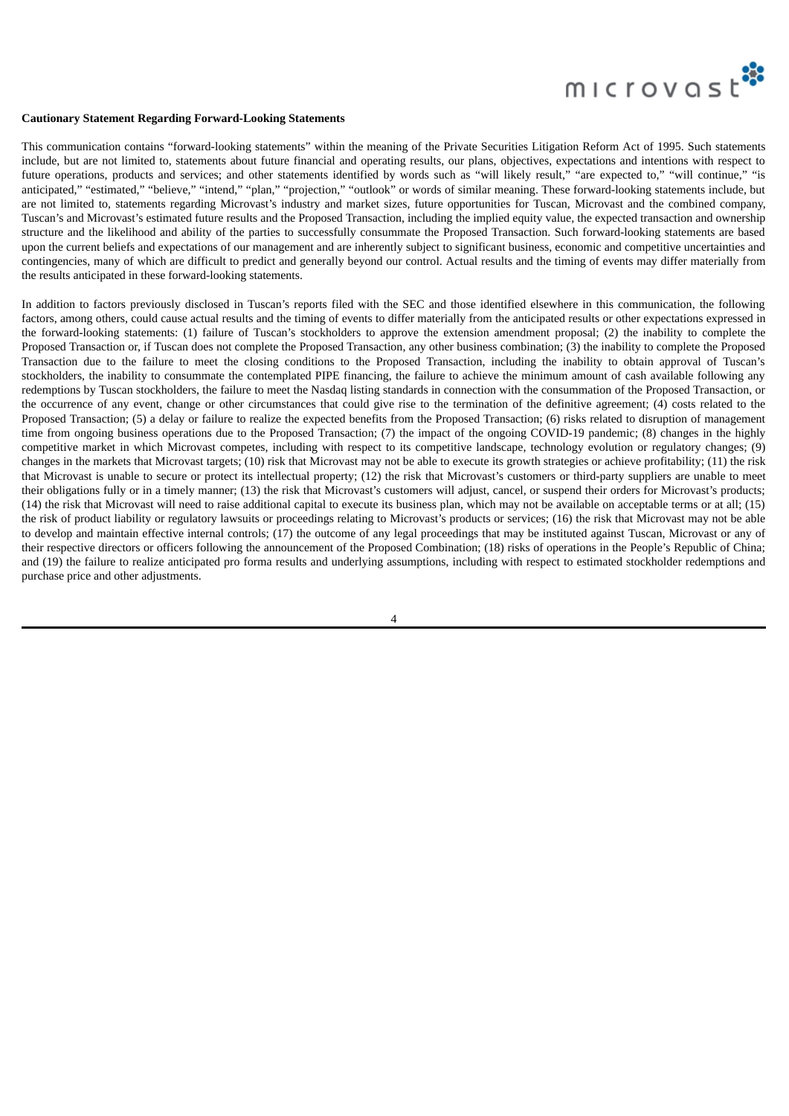

#### **Cautionary Statement Regarding Forward-Looking Statements**

This communication contains "forward-looking statements" within the meaning of the Private Securities Litigation Reform Act of 1995. Such statements include, but are not limited to, statements about future financial and operating results, our plans, objectives, expectations and intentions with respect to future operations, products and services; and other statements identified by words such as "will likely result." "are expected to," "will continue," "is anticipated," "estimated," "believe," "intend," "plan," "projection," "outlook" or words of similar meaning. These forward-looking statements include, but are not limited to, statements regarding Microvast's industry and market sizes, future opportunities for Tuscan, Microvast and the combined company, Tuscan's and Microvast's estimated future results and the Proposed Transaction, including the implied equity value, the expected transaction and ownership structure and the likelihood and ability of the parties to successfully consummate the Proposed Transaction. Such forward-looking statements are based upon the current beliefs and expectations of our management and are inherently subject to significant business, economic and competitive uncertainties and contingencies, many of which are difficult to predict and generally beyond our control. Actual results and the timing of events may differ materially from the results anticipated in these forward-looking statements.

In addition to factors previously disclosed in Tuscan's reports filed with the SEC and those identified elsewhere in this communication, the following factors, among others, could cause actual results and the timing of events to differ materially from the anticipated results or other expectations expressed in the forward-looking statements: (1) failure of Tuscan's stockholders to approve the extension amendment proposal; (2) the inability to complete the Proposed Transaction or, if Tuscan does not complete the Proposed Transaction, any other business combination; (3) the inability to complete the Proposed Transaction due to the failure to meet the closing conditions to the Proposed Transaction, including the inability to obtain approval of Tuscan's stockholders, the inability to consummate the contemplated PIPE financing, the failure to achieve the minimum amount of cash available following any redemptions by Tuscan stockholders, the failure to meet the Nasdaq listing standards in connection with the consummation of the Proposed Transaction, or the occurrence of any event, change or other circumstances that could give rise to the termination of the definitive agreement; (4) costs related to the Proposed Transaction; (5) a delay or failure to realize the expected benefits from the Proposed Transaction; (6) risks related to disruption of management time from ongoing business operations due to the Proposed Transaction; (7) the impact of the ongoing COVID-19 pandemic; (8) changes in the highly competitive market in which Microvast competes, including with respect to its competitive landscape, technology evolution or regulatory changes; (9) changes in the markets that Microvast targets; (10) risk that Microvast may not be able to execute its growth strategies or achieve profitability; (11) the risk that Microvast is unable to secure or protect its intellectual property; (12) the risk that Microvast's customers or third-party suppliers are unable to meet their obligations fully or in a timely manner; (13) the risk that Microvast's customers will adjust, cancel, or suspend their orders for Microvast's products; (14) the risk that Microvast will need to raise additional capital to execute its business plan, which may not be available on acceptable terms or at all; (15) the risk of product liability or regulatory lawsuits or proceedings relating to Microvast's products or services; (16) the risk that Microvast may not be able to develop and maintain effective internal controls; (17) the outcome of any legal proceedings that may be instituted against Tuscan, Microvast or any of their respective directors or officers following the announcement of the Proposed Combination; (18) risks of operations in the People's Republic of China; and (19) the failure to realize anticipated pro forma results and underlying assumptions, including with respect to estimated stockholder redemptions and purchase price and other adjustments.